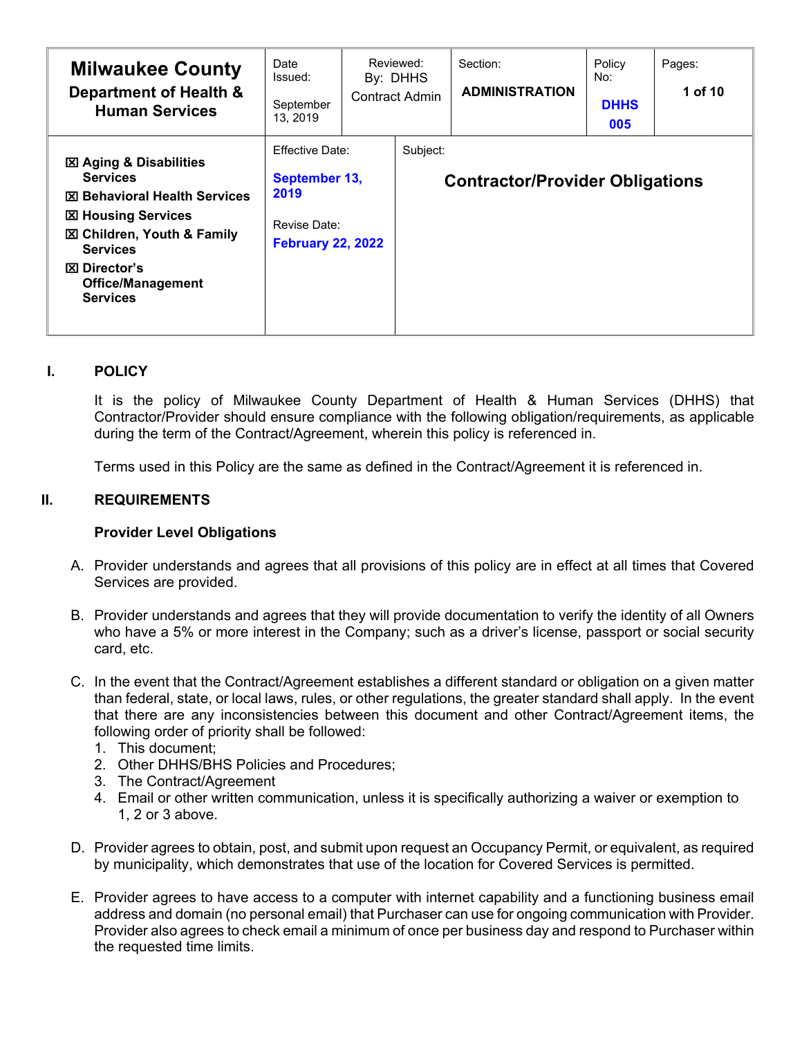| <b>Milwaukee County</b><br>Department of Health &<br><b>Human Services</b>                                                                                                                                                                                 | Date<br>Issued:<br>September<br>13, 2019                                                    | Reviewed:<br>By: DHHS<br><b>Contract Admin</b> | Section:<br><b>ADMINISTRATION</b>      | Policy<br>No:<br><b>DHHS</b><br>005 | Pages:<br>1 of 10 |
|------------------------------------------------------------------------------------------------------------------------------------------------------------------------------------------------------------------------------------------------------------|---------------------------------------------------------------------------------------------|------------------------------------------------|----------------------------------------|-------------------------------------|-------------------|
| <b>図 Aging &amp; Disabilities</b><br><b>Services</b><br><b>⊠ Behavioral Health Services</b><br><b>図 Housing Services</b><br><b>図 Children, Youth &amp; Family</b><br><b>Services</b><br><b>⊠</b> Director's<br><b>Office/Management</b><br><b>Services</b> | <b>Effective Date:</b><br>September 13,<br>2019<br>Revise Date:<br><b>February 22, 2022</b> | Subject:                                       | <b>Contractor/Provider Obligations</b> |                                     |                   |

#### **I. POLICY**

It is the policy of Milwaukee County Department of Health & Human Services (DHHS) that Contractor/Provider should ensure compliance with the following obligation/requirements, as applicable during the term of the Contract/Agreement, wherein this policy is referenced in.

Terms used in this Policy are the same as defined in the Contract/Agreement it is referenced in.

# **II. REQUIREMENTS**

#### **Provider Level Obligations**

- A. Provider understands and agrees that all provisions of this policy are in effect at all times that Covered Services are provided.
- B. Provider understands and agrees that they will provide documentation to verify the identity of all Owners who have a 5% or more interest in the Company; such as a driver's license, passport or social security card, etc.
- C. In the event that the Contract/Agreement establishes a different standard or obligation on a given matter than federal, state, or local laws, rules, or other regulations, the greater standard shall apply. In the event that there are any inconsistencies between this document and other Contract/Agreement items, the following order of priority shall be followed:
	- 1. This document;
	- 2. Other DHHS/BHS Policies and Procedures;
	- 3. The Contract/Agreement
	- 4. Email or other written communication, unless it is specifically authorizing a waiver or exemption to 1, 2 or 3 above.
- D. Provider agrees to obtain, post, and submit upon request an Occupancy Permit, or equivalent, as required by municipality, which demonstrates that use of the location for Covered Services is permitted.
- E. Provider agrees to have access to a computer with internet capability and a functioning business email address and domain (no personal email) that Purchaser can use for ongoing communication with Provider. Provider also agrees to check email a minimum of once per business day and respond to Purchaser within the requested time limits.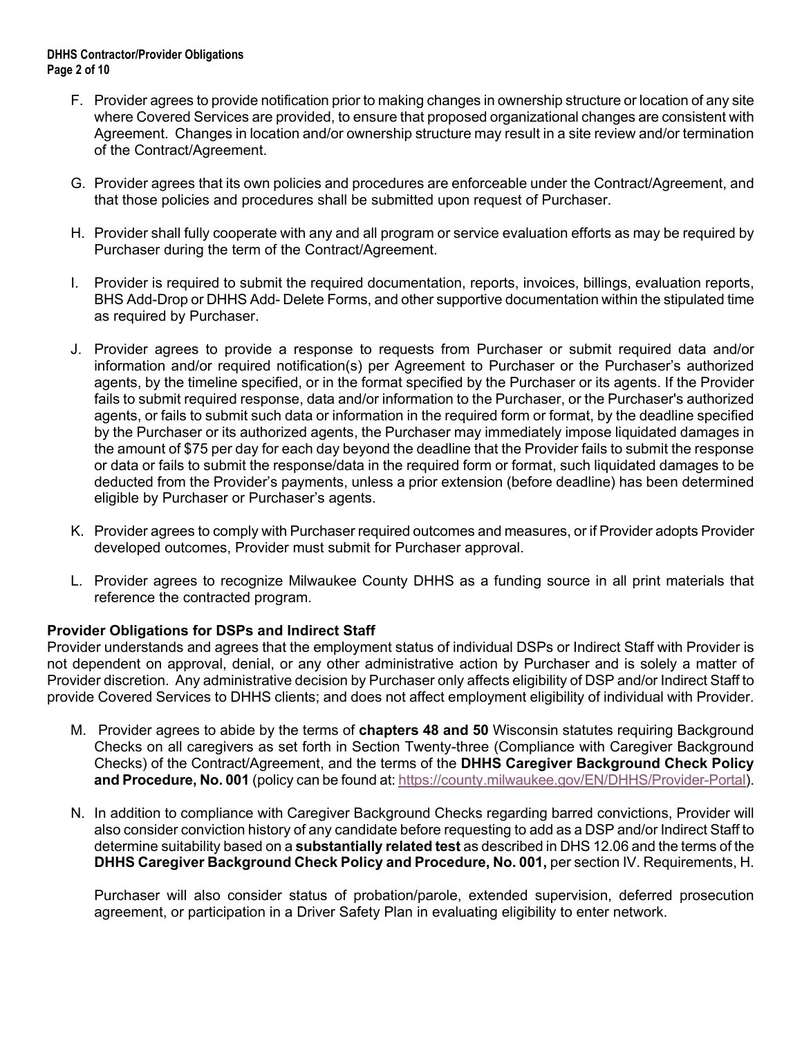#### **DHHS Contractor/Provider Obligations Page 2 of 10**

- F. Provider agrees to provide notification prior to making changes in ownership structure or location of any site where Covered Services are provided, to ensure that proposed organizational changes are consistent with Agreement. Changes in location and/or ownership structure may result in a site review and/or termination of the Contract/Agreement.
- G. Provider agrees that its own policies and procedures are enforceable under the Contract/Agreement, and that those policies and procedures shall be submitted upon request of Purchaser.
- H. Provider shall fully cooperate with any and all program or service evaluation efforts as may be required by Purchaser during the term of the Contract/Agreement.
- I. Provider is required to submit the required documentation, reports, invoices, billings, evaluation reports, BHS Add-Drop or DHHS Add- Delete Forms, and other supportive documentation within the stipulated time as required by Purchaser.
- J. Provider agrees to provide a response to requests from Purchaser or submit required data and/or information and/or required notification(s) per Agreement to Purchaser or the Purchaser's authorized agents, by the timeline specified, or in the format specified by the Purchaser or its agents. If the Provider fails to submit required response, data and/or information to the Purchaser, or the Purchaser's authorized agents, or fails to submit such data or information in the required form or format, by the deadline specified by the Purchaser or its authorized agents, the Purchaser may immediately impose liquidated damages in the amount of \$75 per day for each day beyond the deadline that the Provider fails to submit the response or data or fails to submit the response/data in the required form or format, such liquidated damages to be deducted from the Provider's payments, unless a prior extension (before deadline) has been determined eligible by Purchaser or Purchaser's agents.
- K. Provider agrees to comply with Purchaser required outcomes and measures, or if Provider adopts Provider developed outcomes, Provider must submit for Purchaser approval.
- L. Provider agrees to recognize Milwaukee County DHHS as a funding source in all print materials that reference the contracted program.

#### **Provider Obligations for DSPs and Indirect Staff**

Provider understands and agrees that the employment status of individual DSPs or Indirect Staff with Provider is not dependent on approval, denial, or any other administrative action by Purchaser and is solely a matter of Provider discretion. Any administrative decision by Purchaser only affects eligibility of DSP and/or Indirect Staff to provide Covered Services to DHHS clients; and does not affect employment eligibility of individual with Provider.

- M. Provider agrees to abide by the terms of **chapters 48 and 50** Wisconsin statutes requiring Background Checks on all caregivers as set forth in Section Twenty-three (Compliance with Caregiver Background Checks) of the Contract/Agreement, and the terms of the **DHHS Caregiver Background Check Policy and Procedure, No. 001** (policy can be found at[: https://county.milwaukee.gov/EN/DHHS/Provider-Portal\)](https://county.milwaukee.gov/EN/DHHS/Provider-Portal).
- N. In addition to compliance with Caregiver Background Checks regarding barred convictions, Provider will also consider conviction history of any candidate before requesting to add as a DSP and/or Indirect Staff to determine suitability based on a **substantially related test** as described in DHS 12.06 and the terms of the **DHHS Caregiver Background Check Policy and Procedure, No. 001, per section IV. Requirements, H.**

Purchaser will also consider status of probation/parole, extended supervision, deferred prosecution agreement, or participation in a Driver Safety Plan in evaluating eligibility to enter network.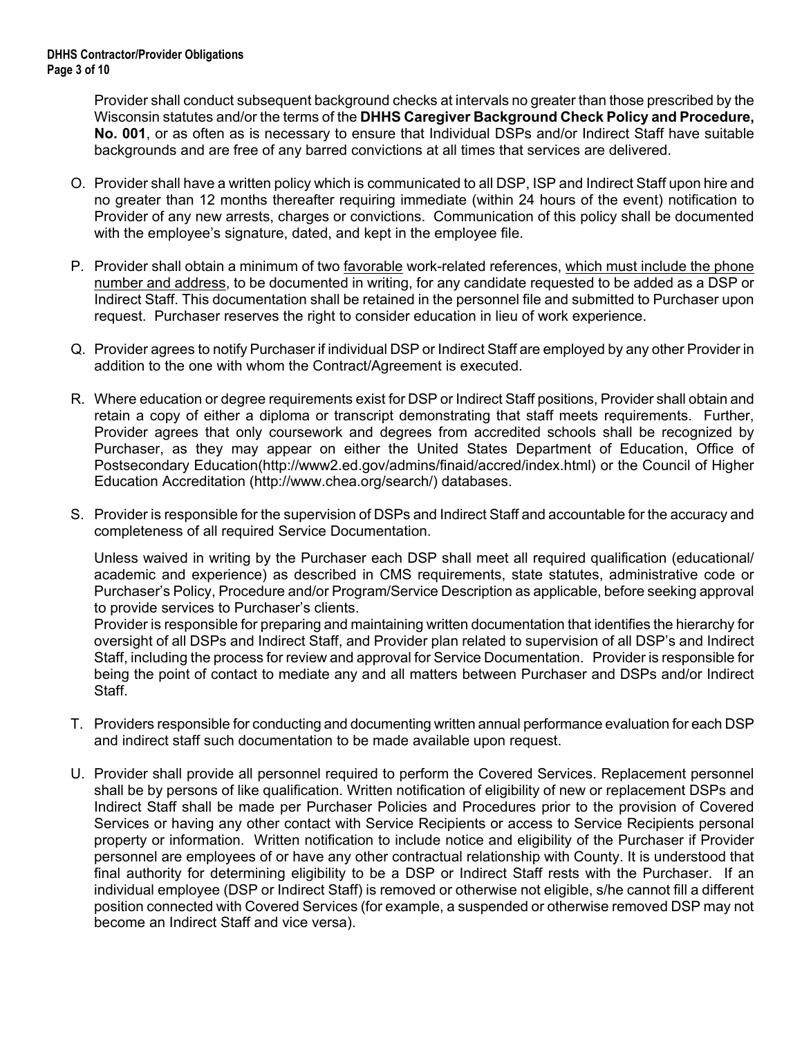Provider shall conduct subsequent background checks at intervals no greater than those prescribed by the Wisconsin statutes and/or the terms of the **DHHS Caregiver Background Check Policy and Procedure, No. 001**, or as often as is necessary to ensure that Individual DSPs and/or Indirect Staff have suitable backgrounds and are free of any barred convictions at all times that services are delivered.

- O. Provider shall have a written policy which is communicated to all DSP, ISP and Indirect Staff upon hire and no greater than 12 months thereafter requiring immediate (within 24 hours of the event) notification to Provider of any new arrests, charges or convictions. Communication of this policy shall be documented with the employee's signature, dated, and kept in the employee file.
- P. Provider shall obtain a minimum of two favorable work-related references, which must include the phone number and address, to be documented in writing, for any candidate requested to be added as a DSP or Indirect Staff. This documentation shall be retained in the personnel file and submitted to Purchaser upon request. Purchaser reserves the right to consider education in lieu of work experience.
- Q. Provider agrees to notify Purchaser if individual DSP or Indirect Staff are employed by any other Provider in addition to the one with whom the Contract/Agreement is executed.
- R. Where education or degree requirements exist for DSP or Indirect Staff positions, Provider shall obtain and retain a copy of either a diploma or transcript demonstrating that staff meets requirements. Further, Provider agrees that only coursework and degrees from accredited schools shall be recognized by Purchaser, as they may appear on either the United States Department of Education, Office of Postsecondary Education(http://www2.ed.gov/admins/finaid/accred/index.html) or the Council of Higher Education Accreditation [\(http://www.chea.org/search/\)](http://www.chea.org/search/) databases.
- S. Provider is responsible for the supervision of DSPs and Indirect Staff and accountable for the accuracy and completeness of all required Service Documentation.

Unless waived in writing by the Purchaser each DSP shall meet all required qualification (educational/ academic and experience) as described in CMS requirements, state statutes, administrative code or Purchaser's Policy, Procedure and/or Program/Service Description as applicable, before seeking approval to provide services to Purchaser's clients.

Provider is responsible for preparing and maintaining written documentation that identifies the hierarchy for oversight of all DSPs and Indirect Staff, and Provider plan related to supervision of all DSP's and Indirect Staff, including the process for review and approval for Service Documentation. Provider is responsible for being the point of contact to mediate any and all matters between Purchaser and DSPs and/or Indirect Staff.

- T. Providers responsible for conducting and documenting written annual performance evaluation for each DSP and indirect staff such documentation to be made available upon request.
- U. Provider shall provide all personnel required to perform the Covered Services. Replacement personnel shall be by persons of like qualification. Written notification of eligibility of new or replacement DSPs and Indirect Staff shall be made per Purchaser Policies and Procedures prior to the provision of Covered Services or having any other contact with Service Recipients or access to Service Recipients personal property or information. Written notification to include notice and eligibility of the Purchaser if Provider personnel are employees of or have any other contractual relationship with County. It is understood that final authority for determining eligibility to be a DSP or Indirect Staff rests with the Purchaser. If an individual employee (DSP or Indirect Staff) is removed or otherwise not eligible, s/he cannot fill a different position connected with Covered Services (for example, a suspended or otherwise removed DSP may not become an Indirect Staff and vice versa).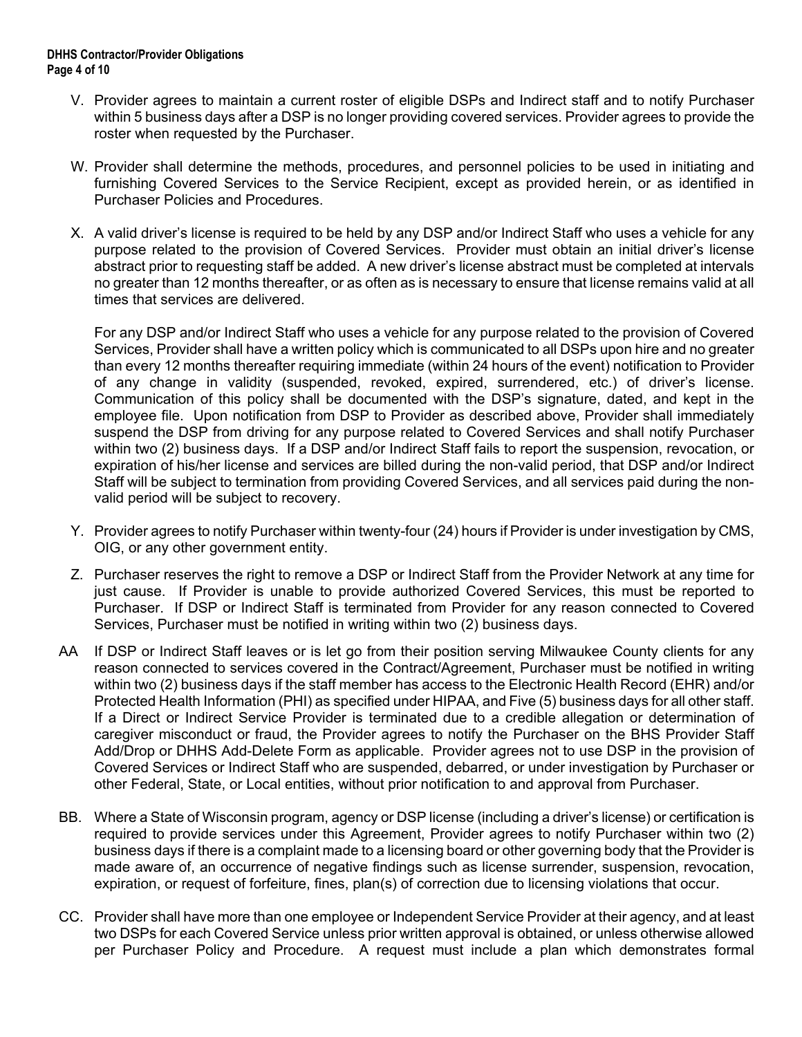- V. Provider agrees to maintain a current roster of eligible DSPs and Indirect staff and to notify Purchaser within 5 business days after a DSP is no longer providing covered services. Provider agrees to provide the roster when requested by the Purchaser.
- W. Provider shall determine the methods, procedures, and personnel policies to be used in initiating and furnishing Covered Services to the Service Recipient, except as provided herein, or as identified in Purchaser Policies and Procedures.
- X. A valid driver's license is required to be held by any DSP and/or Indirect Staff who uses a vehicle for any purpose related to the provision of Covered Services. Provider must obtain an initial driver's license abstract prior to requesting staff be added. A new driver's license abstract must be completed at intervals no greater than 12 months thereafter, or as often as is necessary to ensure that license remains valid at all times that services are delivered.

For any DSP and/or Indirect Staff who uses a vehicle for any purpose related to the provision of Covered Services, Provider shall have a written policy which is communicated to all DSPs upon hire and no greater than every 12 months thereafter requiring immediate (within 24 hours of the event) notification to Provider of any change in validity (suspended, revoked, expired, surrendered, etc.) of driver's license. Communication of this policy shall be documented with the DSP's signature, dated, and kept in the employee file. Upon notification from DSP to Provider as described above, Provider shall immediately suspend the DSP from driving for any purpose related to Covered Services and shall notify Purchaser within two (2) business days. If a DSP and/or Indirect Staff fails to report the suspension, revocation, or expiration of his/her license and services are billed during the non-valid period, that DSP and/or Indirect Staff will be subject to termination from providing Covered Services, and all services paid during the nonvalid period will be subject to recovery.

- Y. Provider agrees to notify Purchaser within twenty-four (24) hours if Provider is under investigation by CMS, OIG, or any other government entity.
- Z. Purchaser reserves the right to remove a DSP or Indirect Staff from the Provider Network at any time for just cause. If Provider is unable to provide authorized Covered Services, this must be reported to Purchaser. If DSP or Indirect Staff is terminated from Provider for any reason connected to Covered Services, Purchaser must be notified in writing within two (2) business days.
- AA If DSP or Indirect Staff leaves or is let go from their position serving Milwaukee County clients for any reason connected to services covered in the Contract/Agreement, Purchaser must be notified in writing within two (2) business days if the staff member has access to the Electronic Health Record (EHR) and/or Protected Health Information (PHI) as specified under HIPAA, and Five (5) business days for all other staff. If a Direct or Indirect Service Provider is terminated due to a credible allegation or determination of caregiver misconduct or fraud, the Provider agrees to notify the Purchaser on the BHS Provider Staff Add/Drop or DHHS Add-Delete Form as applicable. Provider agrees not to use DSP in the provision of Covered Services or Indirect Staff who are suspended, debarred, or under investigation by Purchaser or other Federal, State, or Local entities, without prior notification to and approval from Purchaser.
- BB. Where a State of Wisconsin program, agency or DSP license (including a driver's license) or certification is required to provide services under this Agreement, Provider agrees to notify Purchaser within two (2) business days if there is a complaint made to a licensing board or other governing body that the Provider is made aware of, an occurrence of negative findings such as license surrender, suspension, revocation, expiration, or request of forfeiture, fines, plan(s) of correction due to licensing violations that occur.
- CC. Provider shall have more than one employee or Independent Service Provider at their agency, and at least two DSPs for each Covered Service unless prior written approval is obtained, or unless otherwise allowed per Purchaser Policy and Procedure. A request must include a plan which demonstrates formal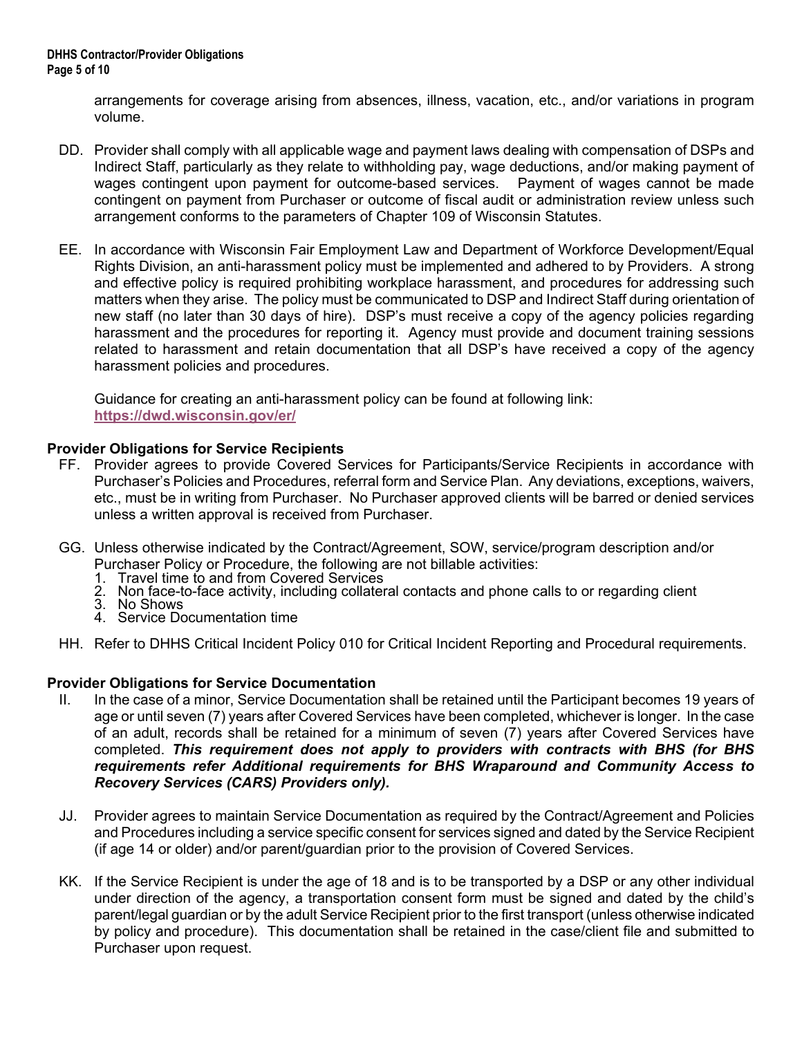arrangements for coverage arising from absences, illness, vacation, etc., and/or variations in program volume.

- DD. Provider shall comply with all applicable wage and payment laws dealing with compensation of DSPs and Indirect Staff, particularly as they relate to withholding pay, wage deductions, and/or making payment of wages contingent upon payment for outcome-based services. Payment of wages cannot be made contingent on payment from Purchaser or outcome of fiscal audit or administration review unless such arrangement conforms to the parameters of Chapter 109 of Wisconsin Statutes.
- EE. In accordance with Wisconsin Fair Employment Law and Department of Workforce Development/Equal Rights Division, an anti-harassment policy must be implemented and adhered to by Providers. A strong and effective policy is required prohibiting workplace harassment, and procedures for addressing such matters when they arise. The policy must be communicated to DSP and Indirect Staff during orientation of new staff (no later than 30 days of hire). DSP's must receive a copy of the agency policies regarding harassment and the procedures for reporting it. Agency must provide and document training sessions related to harassment and retain documentation that all DSP's have received a copy of the agency harassment policies and procedures.

Guidance for creating an anti-harassment policy can be found at following link: **<https://dwd.wisconsin.gov/er/>**

#### **Provider Obligations for Service Recipients**

- FF. Provider agrees to provide Covered Services for Participants/Service Recipients in accordance with Purchaser's Policies and Procedures, referral form and Service Plan. Any deviations, exceptions, waivers, etc., must be in writing from Purchaser. No Purchaser approved clients will be barred or denied services unless a written approval is received from Purchaser.
- GG. Unless otherwise indicated by the Contract/Agreement, SOW, service/program description and/or Purchaser Policy or Procedure, the following are not billable activities:
	- 1. Travel time to and from Covered Services
	- 2. Non face-to-face activity, including collateral contacts and phone calls to or regarding client<br>3. No Shows
	-
	- 4. Service Documentation time
- HH. Refer to DHHS Critical Incident Policy 010 for Critical Incident Reporting and Procedural requirements.

#### **Provider Obligations for Service Documentation**

- II. In the case of a minor, Service Documentation shall be retained until the Participant becomes 19 years of age or until seven (7) years after Covered Services have been completed, whichever is longer. In the case of an adult, records shall be retained for a minimum of seven (7) years after Covered Services have completed. *This requirement does not apply to providers with contracts with BHS (for BHS requirements refer Additional requirements for BHS Wraparound and Community Access to Recovery Services (CARS) Providers only).*
- JJ. Provider agrees to maintain Service Documentation as required by the Contract/Agreement and Policies and Procedures including a service specific consent for services signed and dated by the Service Recipient (if age 14 or older) and/or parent/guardian prior to the provision of Covered Services.
- KK. If the Service Recipient is under the age of 18 and is to be transported by a DSP or any other individual under direction of the agency, a transportation consent form must be signed and dated by the child's parent/legal guardian or by the adult Service Recipient prior to the first transport (unless otherwise indicated by policy and procedure). This documentation shall be retained in the case/client file and submitted to Purchaser upon request.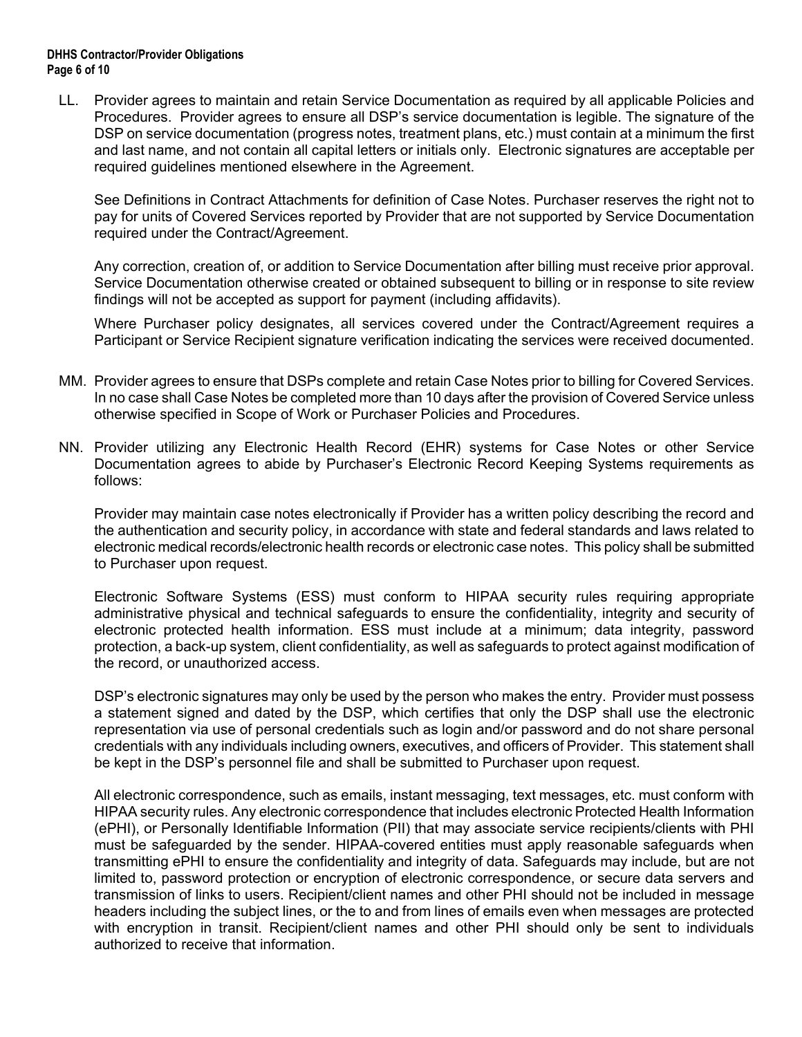#### **DHHS Contractor/Provider Obligations Page 6 of 10**

LL. Provider agrees to maintain and retain Service Documentation as required by all applicable Policies and Procedures. Provider agrees to ensure all DSP's service documentation is legible. The signature of the DSP on service documentation (progress notes, treatment plans, etc.) must contain at a minimum the first and last name, and not contain all capital letters or initials only. Electronic signatures are acceptable per required guidelines mentioned elsewhere in the Agreement.

See Definitions in Contract Attachments for definition of Case Notes. Purchaser reserves the right not to pay for units of Covered Services reported by Provider that are not supported by Service Documentation required under the Contract/Agreement.

Any correction, creation of, or addition to Service Documentation after billing must receive prior approval. Service Documentation otherwise created or obtained subsequent to billing or in response to site review findings will not be accepted as support for payment (including affidavits).

Where Purchaser policy designates, all services covered under the Contract/Agreement requires a Participant or Service Recipient signature verification indicating the services were received documented.

- MM. Provider agrees to ensure that DSPs complete and retain Case Notes prior to billing for Covered Services. In no case shall Case Notes be completed more than 10 days after the provision of Covered Service unless otherwise specified in Scope of Work or Purchaser Policies and Procedures.
- NN. Provider utilizing any Electronic Health Record (EHR) systems for Case Notes or other Service Documentation agrees to abide by Purchaser's Electronic Record Keeping Systems requirements as follows:

Provider may maintain case notes electronically if Provider has a written policy describing the record and the authentication and security policy, in accordance with state and federal standards and laws related to electronic medical records/electronic health records or electronic case notes. This policy shall be submitted to Purchaser upon request.

Electronic Software Systems (ESS) must conform to HIPAA security rules requiring appropriate administrative physical and technical safeguards to ensure the confidentiality, integrity and security of electronic protected health information. ESS must include at a minimum; data integrity, password protection, a back-up system, client confidentiality, as well as safeguards to protect against modification of the record, or unauthorized access.

DSP's electronic signatures may only be used by the person who makes the entry. Provider must possess a statement signed and dated by the DSP, which certifies that only the DSP shall use the electronic representation via use of personal credentials such as login and/or password and do not share personal credentials with any individuals including owners, executives, and officers of Provider. This statement shall be kept in the DSP's personnel file and shall be submitted to Purchaser upon request.

All electronic correspondence, such as emails, instant messaging, text messages, etc. must conform with HIPAA security rules. Any electronic correspondence that includes electronic Protected Health Information (ePHI), or Personally Identifiable Information (PII) that may associate service recipients/clients with PHI must be safeguarded by the sender. HIPAA-covered entities must apply reasonable safeguards when transmitting ePHI to ensure the confidentiality and integrity of data. Safeguards may include, but are not limited to, password protection or encryption of electronic correspondence, or secure data servers and transmission of links to users. Recipient/client names and other PHI should not be included in message headers including the subject lines, or the to and from lines of emails even when messages are protected with encryption in transit. Recipient/client names and other PHI should only be sent to individuals authorized to receive that information.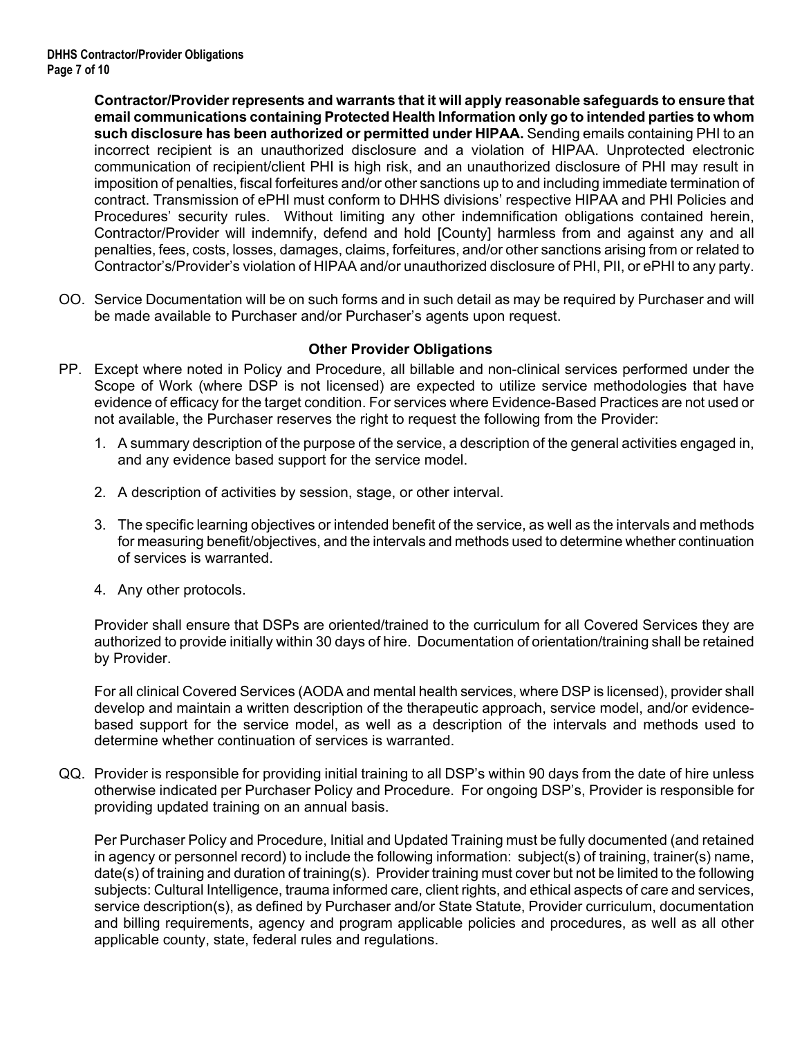**Contractor/Provider represents and warrants that it will apply reasonable safeguards to ensure that email communications containing Protected Health Information only go to intended parties to whom such disclosure has been authorized or permitted under HIPAA.** Sending emails containing PHI to an incorrect recipient is an unauthorized disclosure and a violation of HIPAA. Unprotected electronic communication of recipient/client PHI is high risk, and an unauthorized disclosure of PHI may result in imposition of penalties, fiscal forfeitures and/or other sanctions up to and including immediate termination of contract. Transmission of ePHI must conform to DHHS divisions' respective HIPAA and PHI Policies and Procedures' security rules. Without limiting any other indemnification obligations contained herein, Contractor/Provider will indemnify, defend and hold [County] harmless from and against any and all penalties, fees, costs, losses, damages, claims, forfeitures, and/or other sanctions arising from or related to Contractor's/Provider's violation of HIPAA and/or unauthorized disclosure of PHI, PII, or ePHI to any party.

OO. Service Documentation will be on such forms and in such detail as may be required by Purchaser and will be made available to Purchaser and/or Purchaser's agents upon request.

#### **Other Provider Obligations**

- PP. Except where noted in Policy and Procedure, all billable and non-clinical services performed under the Scope of Work (where DSP is not licensed) are expected to utilize service methodologies that have evidence of efficacy for the target condition. For services where Evidence-Based Practices are not used or not available, the Purchaser reserves the right to request the following from the Provider:
	- 1. A summary description of the purpose of the service, a description of the general activities engaged in, and any evidence based support for the service model.
	- 2. A description of activities by session, stage, or other interval.
	- 3. The specific learning objectives or intended benefit of the service, as well as the intervals and methods for measuring benefit/objectives, and the intervals and methods used to determine whether continuation of services is warranted.
	- 4. Any other protocols.

Provider shall ensure that DSPs are oriented/trained to the curriculum for all Covered Services they are authorized to provide initially within 30 days of hire. Documentation of orientation/training shall be retained by Provider.

For all clinical Covered Services (AODA and mental health services, where DSP is licensed), provider shall develop and maintain a written description of the therapeutic approach, service model, and/or evidencebased support for the service model, as well as a description of the intervals and methods used to determine whether continuation of services is warranted.

QQ. Provider is responsible for providing initial training to all DSP's within 90 days from the date of hire unless otherwise indicated per Purchaser Policy and Procedure. For ongoing DSP's, Provider is responsible for providing updated training on an annual basis.

Per Purchaser Policy and Procedure, Initial and Updated Training must be fully documented (and retained in agency or personnel record) to include the following information: subject(s) of training, trainer(s) name, date(s) of training and duration of training(s). Provider training must cover but not be limited to the following subjects: Cultural Intelligence, trauma informed care, client rights, and ethical aspects of care and services, service description(s), as defined by Purchaser and/or State Statute, Provider curriculum, documentation and billing requirements, agency and program applicable policies and procedures, as well as all other applicable county, state, federal rules and regulations.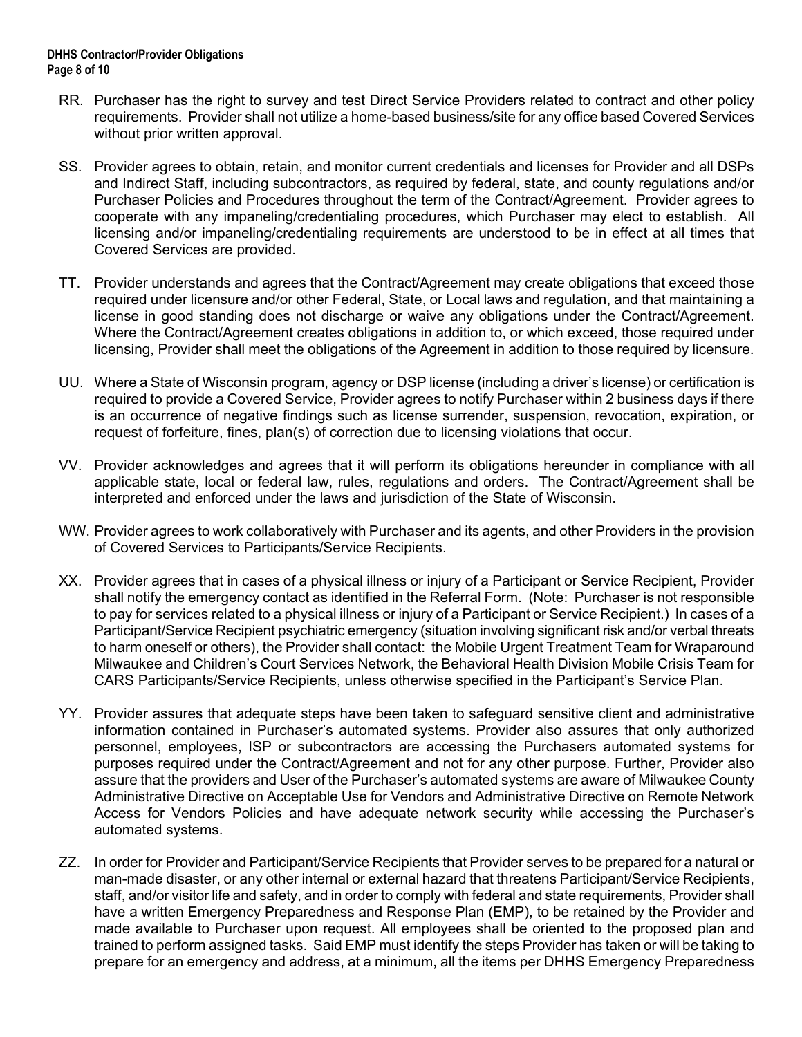- RR. Purchaser has the right to survey and test Direct Service Providers related to contract and other policy requirements. Provider shall not utilize a home-based business/site for any office based Covered Services without prior written approval.
- SS. Provider agrees to obtain, retain, and monitor current credentials and licenses for Provider and all DSPs and Indirect Staff, including subcontractors, as required by federal, state, and county regulations and/or Purchaser Policies and Procedures throughout the term of the Contract/Agreement. Provider agrees to cooperate with any impaneling/credentialing procedures, which Purchaser may elect to establish. All licensing and/or impaneling/credentialing requirements are understood to be in effect at all times that Covered Services are provided.
- TT. Provider understands and agrees that the Contract/Agreement may create obligations that exceed those required under licensure and/or other Federal, State, or Local laws and regulation, and that maintaining a license in good standing does not discharge or waive any obligations under the Contract/Agreement. Where the Contract/Agreement creates obligations in addition to, or which exceed, those required under licensing, Provider shall meet the obligations of the Agreement in addition to those required by licensure.
- UU. Where a State of Wisconsin program, agency or DSP license (including a driver's license) or certification is required to provide a Covered Service, Provider agrees to notify Purchaser within 2 business days if there is an occurrence of negative findings such as license surrender, suspension, revocation, expiration, or request of forfeiture, fines, plan(s) of correction due to licensing violations that occur.
- VV. Provider acknowledges and agrees that it will perform its obligations hereunder in compliance with all applicable state, local or federal law, rules, regulations and orders. The Contract/Agreement shall be interpreted and enforced under the laws and jurisdiction of the State of Wisconsin.
- WW. Provider agrees to work collaboratively with Purchaser and its agents, and other Providers in the provision of Covered Services to Participants/Service Recipients.
- XX. Provider agrees that in cases of a physical illness or injury of a Participant or Service Recipient, Provider shall notify the emergency contact as identified in the Referral Form. (Note: Purchaser is not responsible to pay for services related to a physical illness or injury of a Participant or Service Recipient.) In cases of a Participant/Service Recipient psychiatric emergency (situation involving significant risk and/or verbal threats to harm oneself or others), the Provider shall contact: the Mobile Urgent Treatment Team for Wraparound Milwaukee and Children's Court Services Network, the Behavioral Health Division Mobile Crisis Team for CARS Participants/Service Recipients, unless otherwise specified in the Participant's Service Plan.
- YY. Provider assures that adequate steps have been taken to safeguard sensitive client and administrative information contained in Purchaser's automated systems. Provider also assures that only authorized personnel, employees, ISP or subcontractors are accessing the Purchasers automated systems for purposes required under the Contract/Agreement and not for any other purpose. Further, Provider also assure that the providers and User of the Purchaser's automated systems are aware of Milwaukee County Administrative Directive on Acceptable Use for Vendors and Administrative Directive on Remote Network Access for Vendors Policies and have adequate network security while accessing the Purchaser's automated systems.
- ZZ. In order for Provider and Participant/Service Recipients that Provider serves to be prepared for a natural or man-made disaster, or any other internal or external hazard that threatens Participant/Service Recipients, staff, and/or visitor life and safety, and in order to comply with federal and state requirements, Provider shall have a written Emergency Preparedness and Response Plan (EMP), to be retained by the Provider and made available to Purchaser upon request. All employees shall be oriented to the proposed plan and trained to perform assigned tasks. Said EMP must identify the steps Provider has taken or will be taking to prepare for an emergency and address, at a minimum, all the items per DHHS Emergency Preparedness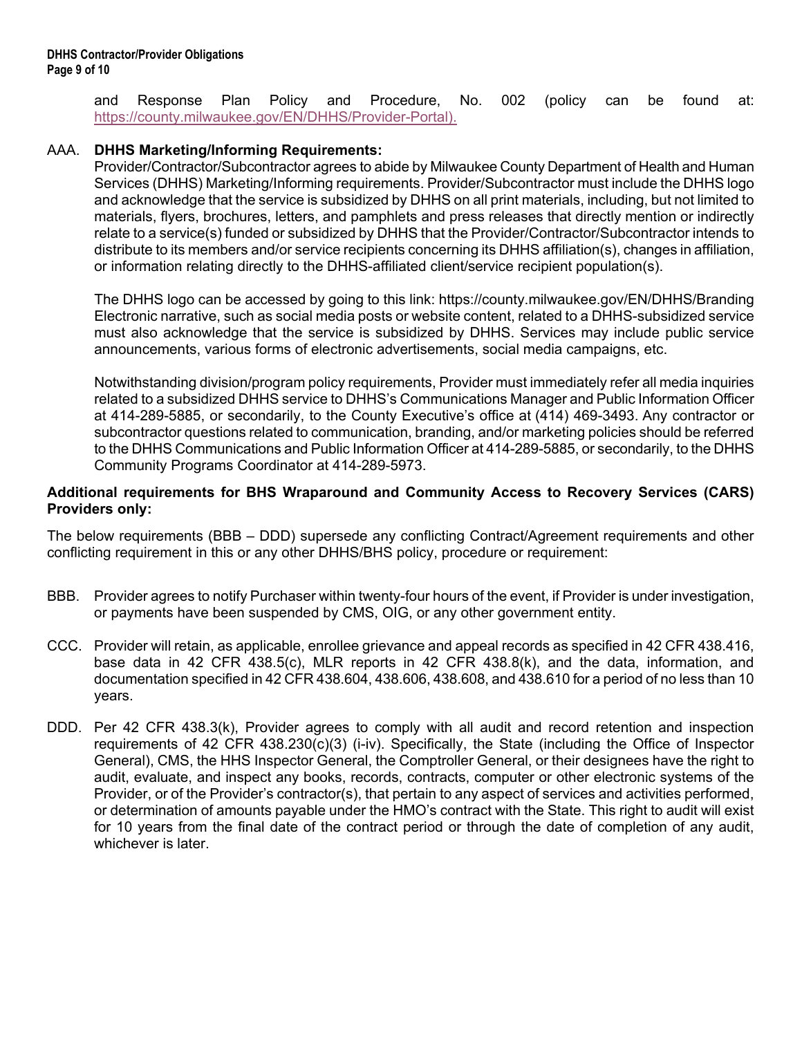and Response Plan Policy and Procedure, No. 002 (policy can be found at: [https://county.milwaukee.gov/EN/DHHS/Provider-Portal\).](https://county.milwaukee.gov/EN/DHHS/Provider-Portal)

## AAA. **DHHS Marketing/Informing Requirements:**

Provider/Contractor/Subcontractor agrees to abide by Milwaukee County Department of Health and Human Services (DHHS) Marketing/Informing requirements. Provider/Subcontractor must include the DHHS logo and acknowledge that the service is subsidized by DHHS on all print materials, including, but not limited to materials, flyers, brochures, letters, and pamphlets and press releases that directly mention or indirectly relate to a service(s) funded or subsidized by DHHS that the Provider/Contractor/Subcontractor intends to distribute to its members and/or service recipients concerning its DHHS affiliation(s), changes in affiliation, or information relating directly to the DHHS-affiliated client/service recipient population(s).

The DHHS logo can be accessed by going to this link: https://county.milwaukee.gov/EN/DHHS/Branding Electronic narrative, such as social media posts or website content, related to a DHHS-subsidized service must also acknowledge that the service is subsidized by DHHS. Services may include public service announcements, various forms of electronic advertisements, social media campaigns, etc.

Notwithstanding division/program policy requirements, Provider must immediately refer all media inquiries related to a subsidized DHHS service to DHHS's Communications Manager and Public Information Officer at 414-289-5885, or secondarily, to the County Executive's office at (414) 469-3493. Any contractor or subcontractor questions related to communication, branding, and/or marketing policies should be referred to the DHHS Communications and Public Information Officer at 414-289-5885, or secondarily, to the DHHS Community Programs Coordinator at 414-289-5973.

#### **Additional requirements for BHS Wraparound and Community Access to Recovery Services (CARS) Providers only:**

The below requirements (BBB – DDD) supersede any conflicting Contract/Agreement requirements and other conflicting requirement in this or any other DHHS/BHS policy, procedure or requirement:

- BBB. Provider agrees to notify Purchaser within twenty-four hours of the event, if Provider is under investigation, or payments have been suspended by CMS, OIG, or any other government entity.
- CCC. Provider will retain, as applicable, enrollee grievance and appeal records as specified in 42 CFR 438.416, base data in 42 CFR 438.5(c), MLR reports in 42 CFR 438.8(k), and the data, information, and documentation specified in 42 CFR 438.604, 438.606, 438.608, and 438.610 for a period of no less than 10 years.
- DDD. Per 42 CFR 438.3(k), Provider agrees to comply with all audit and record retention and inspection requirements of 42 CFR 438.230(c)(3) (i-iv). Specifically, the State (including the Office of Inspector General), CMS, the HHS Inspector General, the Comptroller General, or their designees have the right to audit, evaluate, and inspect any books, records, contracts, computer or other electronic systems of the Provider, or of the Provider's contractor(s), that pertain to any aspect of services and activities performed, or determination of amounts payable under the HMO's contract with the State. This right to audit will exist for 10 years from the final date of the contract period or through the date of completion of any audit, whichever is later.